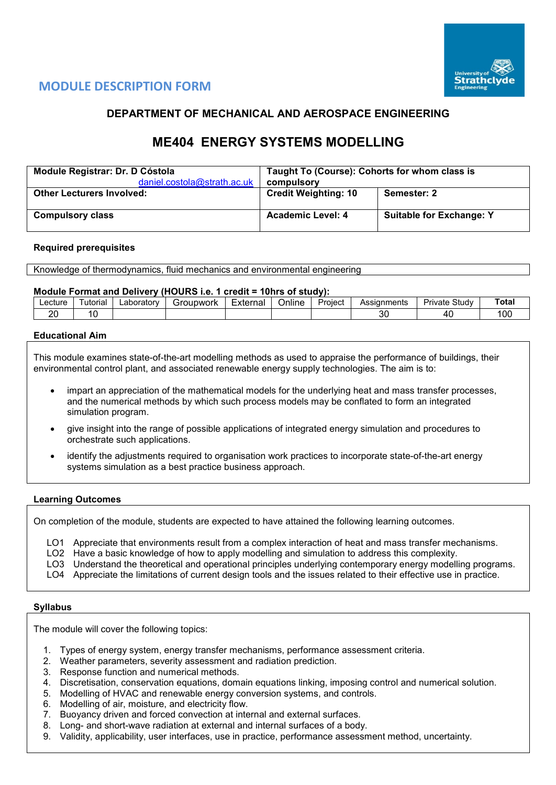

# **MODULE DESCRIPTION FORM**

# **DEPARTMENT OF MECHANICAL AND AEROSPACE ENGINEERING**

# **ME404 ENERGY SYSTEMS MODELLING**

| Module Registrar: Dr. D Cóstola  | Taught To (Course): Cohorts for whom class is |                                 |  |  |  |  |
|----------------------------------|-----------------------------------------------|---------------------------------|--|--|--|--|
| daniel.costola@strath.ac.uk      | compulsory                                    |                                 |  |  |  |  |
| <b>Other Lecturers Involved:</b> | <b>Credit Weighting: 10</b>                   | Semester: 2                     |  |  |  |  |
|                                  |                                               |                                 |  |  |  |  |
| <b>Compulsory class</b>          | <b>Academic Level: 4</b>                      | <b>Suitable for Exchange: Y</b> |  |  |  |  |
|                                  |                                               |                                 |  |  |  |  |

## **Required prerequisites**

Knowledge of thermodynamics, fluid mechanics and environmental engineering

#### **Module Format and Delivery (HOURS i.e. 1 credit = 10hrs of study):**

| Lecture | utorıal | ∟aboratorv | iroupwork<br>∖−ıl | External | .<br>Jnline | Proiect | nments<br>ASSIGN | $\sim$<br>. otudv<br>rivate.<br>. | $\overline{\phantom{a}}$<br>ˈotal |
|---------|---------|------------|-------------------|----------|-------------|---------|------------------|-----------------------------------|-----------------------------------|
| ററ<br>∼ |         |            |                   |          |             |         | $\sim$<br>υı     | 40                                | $\sim$<br><b>UU</b>               |

# **Educational Aim**

This module examines state-of-the-art modelling methods as used to appraise the performance of buildings, their environmental control plant, and associated renewable energy supply technologies. The aim is to:

- impart an appreciation of the mathematical models for the underlying heat and mass transfer processes, and the numerical methods by which such process models may be conflated to form an integrated simulation program.
- give insight into the range of possible applications of integrated energy simulation and procedures to orchestrate such applications.
- identify the adjustments required to organisation work practices to incorporate state-of-the-art energy systems simulation as a best practice business approach.

# **Learning Outcomes**

On completion of the module, students are expected to have attained the following learning outcomes.

LO1 Appreciate that environments result from a complex interaction of heat and mass transfer mechanisms.

- LO2 Have a basic knowledge of how to apply modelling and simulation to address this complexity.
- LO3 Understand the theoretical and operational principles underlying contemporary energy modelling programs.
- LO4 Appreciate the limitations of current design tools and the issues related to their effective use in practice.

#### **Syllabus**

The module will cover the following topics:

- 1. Types of energy system, energy transfer mechanisms, performance assessment criteria.
- 2. Weather parameters, severity assessment and radiation prediction.
- 3. Response function and numerical methods.
- 4. Discretisation, conservation equations, domain equations linking, imposing control and numerical solution.
- 5. Modelling of HVAC and renewable energy conversion systems, and controls.
- 6. Modelling of air, moisture, and electricity flow.
- 7. Buoyancy driven and forced convection at internal and external surfaces.
- 8. Long- and short-wave radiation at external and internal surfaces of a body.
- 9. Validity, applicability, user interfaces, use in practice, performance assessment method, uncertainty.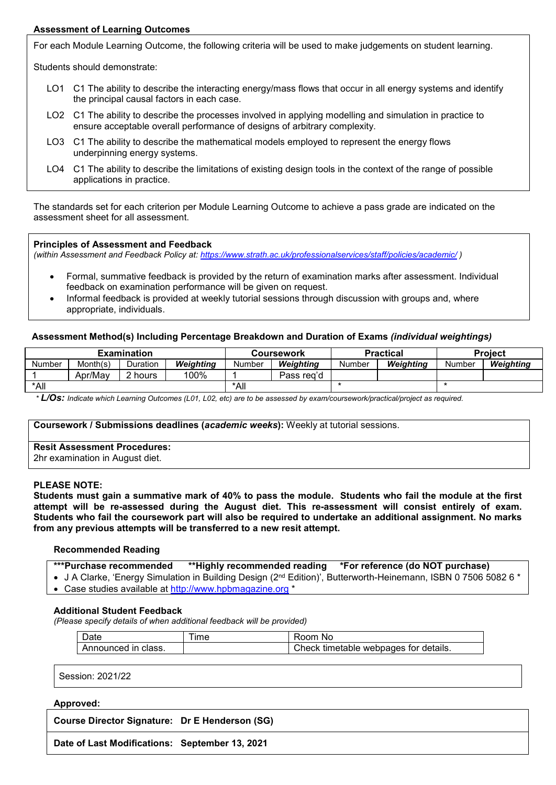# **Assessment of Learning Outcomes**

For each Module Learning Outcome, the following criteria will be used to make judgements on student learning.

Students should demonstrate:

- LO1 C1 The ability to describe the interacting energy/mass flows that occur in all energy systems and identify the principal causal factors in each case.
- LO2 C1 The ability to describe the processes involved in applying modelling and simulation in practice to ensure acceptable overall performance of designs of arbitrary complexity.
- LO3 C1 The ability to describe the mathematical models employed to represent the energy flows underpinning energy systems.
- LO4 C1 The ability to describe the limitations of existing design tools in the context of the range of possible applications in practice.

The standards set for each criterion per Module Learning Outcome to achieve a pass grade are indicated on the assessment sheet for all assessment.

**Principles of Assessment and Feedback**

*(within Assessment and Feedback Policy at: <https://www.strath.ac.uk/professionalservices/staff/policies/academic/> )*

- Formal, summative feedback is provided by the return of examination marks after assessment. Individual feedback on examination performance will be given on request.
- Informal feedback is provided at weekly tutorial sessions through discussion with groups and, where appropriate, individuals.

## **Assessment Method(s) Including Percentage Breakdown and Duration of Exams** *(individual weightings)*

| Examination |          |          |           |        | Coursework |        | <b>Practical</b> | <b>Project</b> |           |  |
|-------------|----------|----------|-----------|--------|------------|--------|------------------|----------------|-----------|--|
| Number      | Month(s) | Duration | Weiahtina | Number | Weiahtina  | Number | Weiahtina        | <b>Number</b>  | Weiahtina |  |
|             | Apr/May  | ∠ hours  | 100%      |        | Pass reɑ'd |        |                  |                |           |  |
| *All        |          |          |           | *All   |            |        |                  |                |           |  |

*\* L/Os: Indicate which Learning Outcomes (L01, L02, etc) are to be assessed by exam/coursework/practical/project as required.*

#### **Coursework / Submissions deadlines (***academic weeks***):** Weekly at tutorial sessions.

## **Resit Assessment Procedures:**

2hr examination in August diet.

## **PLEASE NOTE:**

**Students must gain a summative mark of 40% to pass the module. Students who fail the module at the first attempt will be re-assessed during the August diet. This re-assessment will consist entirely of exam. Students who fail the coursework part will also be required to undertake an additional assignment. No marks from any previous attempts will be transferred to a new resit attempt.**

#### **Recommended Reading**

**\*\*\*Purchase recommended \*\*Highly recommended reading \*For reference (do NOT purchase)**

• J A Clarke, 'Energy Simulation in Building Design (2<sup>nd</sup> Edition)', Butterworth-Heinemann, ISBN 0 7506 5082 6 \* • Case studies available at [http://www.hpbmagazine.org](http://www.hpbmagazine.org/) \*

## **Additional Student Feedback**

*(Please specify details of when additional feedback will be provided)*

| Date                | ime | Nο<br>Room                            |
|---------------------|-----|---------------------------------------|
| Announced in class. |     | Check timetable webpages for details. |

Session: 2021/22

#### **Approved:**

**Course Director Signature: Dr E Henderson (SG)**

**Date of Last Modifications: September 13, 2021**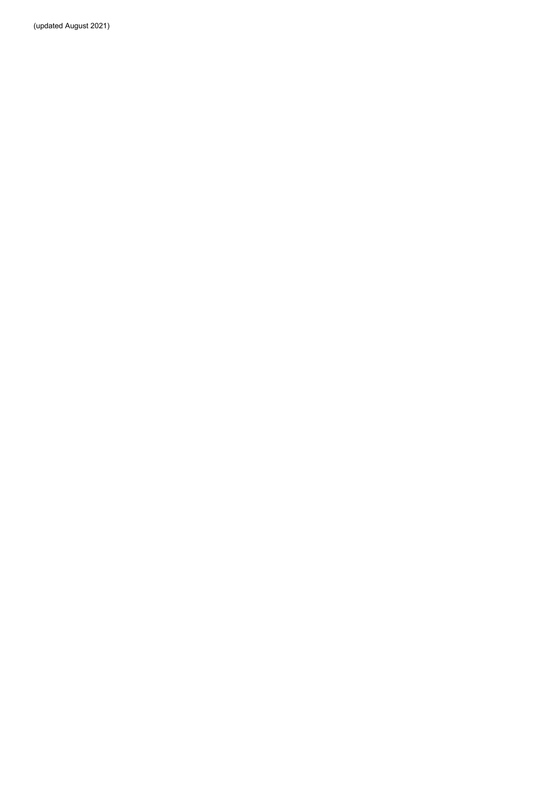(updated August 2021)